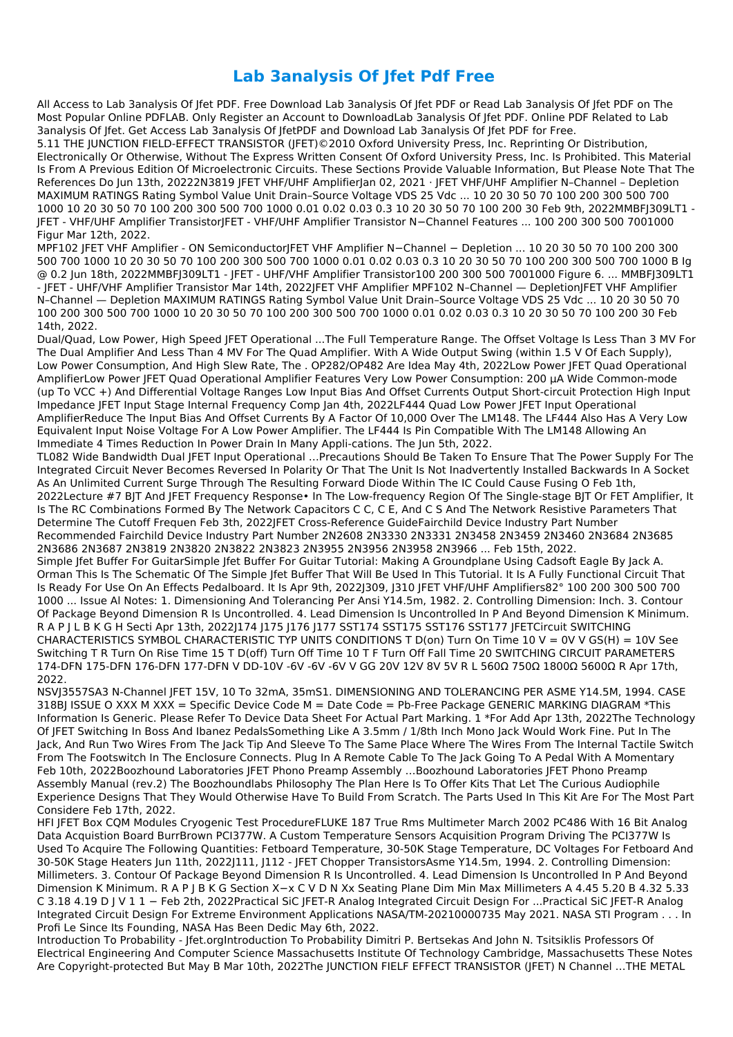## **Lab 3analysis Of Jfet Pdf Free**

All Access to Lab 3analysis Of Jfet PDF. Free Download Lab 3analysis Of Jfet PDF or Read Lab 3analysis Of Jfet PDF on The Most Popular Online PDFLAB. Only Register an Account to DownloadLab 3analysis Of Jfet PDF. Online PDF Related to Lab 3analysis Of Jfet. Get Access Lab 3analysis Of JfetPDF and Download Lab 3analysis Of Jfet PDF for Free.

5.11 THE JUNCTION FIELD-EFFECT TRANSISTOR (JFET)©2010 Oxford University Press, Inc. Reprinting Or Distribution, Electronically Or Otherwise, Without The Express Written Consent Of Oxford University Press, Inc. Is Prohibited. This Material Is From A Previous Edition Of Microelectronic Circuits. These Sections Provide Valuable Information, But Please Note That The References Do Jun 13th, 20222N3819 JFET VHF/UHF AmplifierJan 02, 2021 · JFET VHF/UHF Amplifier N–Channel – Depletion MAXIMUM RATINGS Rating Symbol Value Unit Drain–Source Voltage VDS 25 Vdc ... 10 20 30 50 70 100 200 300 500 700 1000 10 20 30 50 70 100 200 300 500 700 1000 0.01 0.02 0.03 0.3 10 20 30 50 70 100 200 30 Feb 9th, 2022MMBFJ309LT1 - JFET - VHF/UHF Amplifier TransistorJFET - VHF/UHF Amplifier Transistor N−Channel Features ... 100 200 300 500 7001000 Figur Mar 12th, 2022.

MPF102 JFET VHF Amplifier - ON SemiconductorJFET VHF Amplifier N-Channel - Depletion ... 10 20 30 50 70 100 200 300 500 700 1000 10 20 30 50 70 100 200 300 500 700 1000 0.01 0.02 0.03 0.3 10 20 30 50 70 100 200 300 500 700 1000 B Ig @ 0.2 Jun 18th, 2022MMBFJ309LT1 - JFET - UHF/VHF Amplifier Transistor100 200 300 500 7001000 Figure 6. ... MMBFJ309LT1 - JFET - UHF/VHF Amplifier Transistor Mar 14th, 2022JFET VHF Amplifier MPF102 N–Channel — DepletionJFET VHF Amplifier N–Channel — Depletion MAXIMUM RATINGS Rating Symbol Value Unit Drain–Source Voltage VDS 25 Vdc ... 10 20 30 50 70 100 200 300 500 700 1000 10 20 30 50 70 100 200 300 500 700 1000 0.01 0.02 0.03 0.3 10 20 30 50 70 100 200 30 Feb 14th, 2022.

Dual/Quad, Low Power, High Speed JFET Operational ...The Full Temperature Range. The Offset Voltage Is Less Than 3 MV For The Dual Amplifier And Less Than 4 MV For The Quad Amplifier. With A Wide Output Swing (within 1.5 V Of Each Supply), Low Power Consumption, And High Slew Rate, The . OP282/OP482 Are Idea May 4th, 2022Low Power JFET Quad Operational AmplifierLow Power JFET Quad Operational Amplifier Features Very Low Power Consumption: 200 µA Wide Common-mode (up To VCC +) And Differential Voltage Ranges Low Input Bias And Offset Currents Output Short-circuit Protection High Input Impedance JFET Input Stage Internal Frequency Comp Jan 4th, 2022LF444 Quad Low Power JFET Input Operational AmplifierReduce The Input Bias And Offset Currents By A Factor Of 10,000 Over The LM148. The LF444 Also Has A Very Low Equivalent Input Noise Voltage For A Low Power Amplifier. The LF444 Is Pin Compatible With The LM148 Allowing An Immediate 4 Times Reduction In Power Drain In Many Appli-cations. The Jun 5th, 2022.

TL082 Wide Bandwidth Dual JFET Input Operational …Precautions Should Be Taken To Ensure That The Power Supply For The Integrated Circuit Never Becomes Reversed In Polarity Or That The Unit Is Not Inadvertently Installed Backwards In A Socket As An Unlimited Current Surge Through The Resulting Forward Diode Within The IC Could Cause Fusing O Feb 1th, 2022Lecture #7 BJT And JFET Frequency Response• In The Low-frequency Region Of The Single-stage BJT Or FET Amplifier, It Is The RC Combinations Formed By The Network Capacitors C C, C E, And C S And The Network Resistive Parameters That Determine The Cutoff Frequen Feb 3th, 2022JFET Cross-Reference GuideFairchild Device Industry Part Number Recommended Fairchild Device Industry Part Number 2N2608 2N3330 2N3331 2N3458 2N3459 2N3460 2N3684 2N3685 2N3686 2N3687 2N3819 2N3820 2N3822 2N3823 2N3955 2N3956 2N3958 2N3966 ... Feb 15th, 2022.

Simple Jfet Buffer For GuitarSimple Jfet Buffer For Guitar Tutorial: Making A Groundplane Using Cadsoft Eagle By Jack A. Orman This Is The Schematic Of The Simple Jfet Buffer That Will Be Used In This Tutorial. It Is A Fully Functional Circuit That Is Ready For Use On An Effects Pedalboard. It Is Apr 9th, 2022J309, J310 JFET VHF/UHF Amplifiers82° 100 200 300 500 700 1000 ... Issue Al Notes: 1. Dimensioning And Tolerancing Per Ansi Y14.5m, 1982. 2. Controlling Dimension: Inch. 3. Contour Of Package Beyond Dimension R Is Uncontrolled. 4. Lead Dimension Is Uncontrolled In P And Beyond Dimension K Minimum. R A P J L B K G H Secti Apr 13th, 2022J174 J175 J176 J177 SST174 SST175 SST176 SST177 JFETCircuit SWITCHING CHARACTERISTICS SYMBOL CHARACTERISTIC TYP UNITS CONDITIONS T D(on) Turn On Time 10 V = 0V V GS(H) = 10V See Switching T R Turn On Rise Time 15 T D(off) Turn Off Time 10 T F Turn Off Fall Time 20 SWITCHING CIRCUIT PARAMETERS 174-DFN 175-DFN 176-DFN 177-DFN V DD-10V -6V -6V -6V V GG 20V 12V 8V 5V R L 560Ω 750Ω 1800Ω 5600Ω R Apr 17th, 2022.

NSVJ3557SA3 N-Channel JFET 15V, 10 To 32mA, 35mS1. DIMENSIONING AND TOLERANCING PER ASME Y14.5M, 1994. CASE 318BJ ISSUE O XXX M XXX = Specific Device Code M = Date Code = Pb-Free Package GENERIC MARKING DIAGRAM \*This Information Is Generic. Please Refer To Device Data Sheet For Actual Part Marking. 1 \*For Add Apr 13th, 2022The Technology Of JFET Switching In Boss And Ibanez PedalsSomething Like A 3.5mm / 1/8th Inch Mono Jack Would Work Fine. Put In The Jack, And Run Two Wires From The Jack Tip And Sleeve To The Same Place Where The Wires From The Internal Tactile Switch From The Footswitch In The Enclosure Connects. Plug In A Remote Cable To The Jack Going To A Pedal With A Momentary Feb 10th, 2022Boozhound Laboratories JFET Phono Preamp Assembly …Boozhound Laboratories JFET Phono Preamp Assembly Manual (rev.2) The Boozhoundlabs Philosophy The Plan Here Is To Offer Kits That Let The Curious Audiophile Experience Designs That They Would Otherwise Have To Build From Scratch. The Parts Used In This Kit Are For The Most Part Considere Feb 17th, 2022. HFI JFET Box CQM Modules Cryogenic Test ProcedureFLUKE 187 True Rms Multimeter March 2002 PC486 With 16 Bit Analog Data Acquistion Board BurrBrown PCI377W. A Custom Temperature Sensors Acquisition Program Driving The PCI377W Is Used To Acquire The Following Quantities: Fetboard Temperature, 30-50K Stage Temperature, DC Voltages For Fetboard And 30-50K Stage Heaters Jun 11th, 2022J111, J112 - JFET Chopper TransistorsAsme Y14.5m, 1994. 2. Controlling Dimension: Millimeters. 3. Contour Of Package Beyond Dimension R Is Uncontrolled. 4. Lead Dimension Is Uncontrolled In P And Beyond Dimension K Minimum. R A P J B K G Section X−x C V D N Xx Seating Plane Dim Min Max Millimeters A 4.45 5.20 B 4.32 5.33 C 3.18 4.19 D J V 1 1 − Feb 2th, 2022Practical SiC JFET-R Analog Integrated Circuit Design For ...Practical SiC JFET-R Analog Integrated Circuit Design For Extreme Environment Applications NASA/TM-20210000735 May 2021. NASA STI Program . . . In Profi Le Since Its Founding, NASA Has Been Dedic May 6th, 2022. Introduction To Probability - Jfet.orgIntroduction To Probability Dimitri P. Bertsekas And John N. Tsitsiklis Professors Of Electrical Engineering And Computer Science Massachusetts Institute Of Technology Cambridge, Massachusetts These Notes Are Copyright-protected But May B Mar 10th, 2022The JUNCTION FIELF EFFECT TRANSISTOR (JFET) N Channel …THE METAL